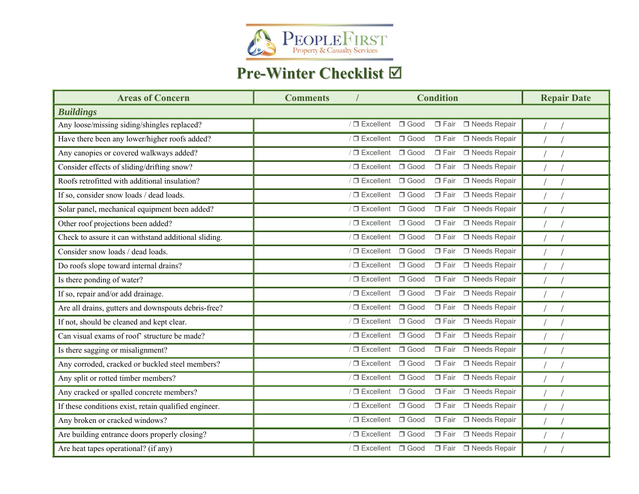

## **Pre-Winter Checklist**

| <b>Areas of Concern</b>                               | <b>Condition</b><br><b>Comments</b>                                        | <b>Repair Date</b> |
|-------------------------------------------------------|----------------------------------------------------------------------------|--------------------|
| <b>Buildings</b>                                      |                                                                            |                    |
| Any loose/missing siding/shingles replaced?           | $/$ $\Box$ Excellent<br>$\Box$ Good<br>$\square$ Fair<br>□ Needs Repair    |                    |
| Have there been any lower/higher roofs added?         | $/ \Box$ Excellent<br>$\Box$ Good<br>□ Needs Repair<br>$\square$ Fair      |                    |
| Any canopies or covered walkways added?               | $/$ $\Box$ Excellent<br>$\Box$ Good<br>$\square$ Fair<br>□ Needs Repair    |                    |
| Consider effects of sliding/drifting snow?            | $\sqrt{2}$ Excellent<br>$\Box$ Good<br>$\square$ Fair<br>□ Needs Repair    |                    |
| Roofs retrofitted with additional insulation?         | $/$ $\Box$ Excellent<br>$\Box$ Good<br>$\square$ Fair<br>□ Needs Repair    |                    |
| If so, consider snow loads / dead loads.              | $\sqrt{\Box}$ Excellent<br>$\Box$ Good<br>□ Needs Repair<br>$\square$ Fair |                    |
| Solar panel, mechanical equipment been added?         | $/$ $\Box$ Excellent<br>$\Box$ Good<br>$\Box$ Fair<br>□ Needs Repair       |                    |
| Other roof projections been added?                    | $\Box$ Good<br>□ Needs Repair<br>$\sqrt{\Box}$ Excellent<br>$\square$ Fair |                    |
| Check to assure it can withstand additional sliding.  | $\Box$ Good<br>□ Needs Repair<br>$/$ $\Box$ Excellent<br>$\Box$ Fair       |                    |
| Consider snow loads / dead loads.                     | □ Needs Repair<br>$\sqrt{\Box}$ Excellent<br>$\Box$ Good<br>$\square$ Fair |                    |
| Do roofs slope toward internal drains?                | $/ \Box$ Excellent<br>$\Box$ Good<br>□ Needs Repair<br>$\square$ Fair      |                    |
| Is there ponding of water?                            | $\Box$ Good<br>□ Needs Repair<br>$\sqrt{\Box}$ Excellent<br>$\square$ Fair |                    |
| If so, repair and/or add drainage.                    | $\Box$ Good<br>□ Fair □ Needs Repair<br>$\sqrt{\Box}$ Excellent            |                    |
| Are all drains, gutters and downspouts debris-free?   | $/$ $\Box$ Excellent<br>$\Box$ Good<br>□ Needs Repair<br>$\Box$ Fair       |                    |
| If not, should be cleaned and kept clear.             | $\Box$ Good<br>□ Needs Repair<br>$/$ $\Box$ Excellent<br>$\Box$ Fair       |                    |
| Can visual exams of roof' structure be made?          | $\sqrt{\Box}$ Excellent<br>$\Box$ Good<br>□ Needs Repair<br>$\square$ Fair |                    |
| Is there sagging or misalignment?                     | $/$ $\Box$ Excellent<br>$\Box$ Good<br>$\square$ Fair<br>□ Needs Repair    |                    |
| Any corroded, cracked or buckled steel members?       | $\Box$ Good<br>□ Needs Repair<br>$/$ $\Box$ Excellent<br>$\Box$ Fair       |                    |
| Any split or rotted timber members?                   | $\Box$ Good<br>□ Needs Repair<br>$/$ $\Box$ Excellent<br>$\square$ Fair    |                    |
| Any cracked or spalled concrete members?              | $/$ $\Box$ Excellent<br>$\Box$ Good<br>□ Needs Repair<br>$\square$ Fair    |                    |
| If these conditions exist, retain qualified engineer. | $/$ $\Box$ Excellent<br>$\Box$ Good<br>□ Needs Repair<br>$\square$ Fair    |                    |
| Any broken or cracked windows?                        | $\Box$ Good<br>□ Needs Repair<br>$\sqrt{\Box}$ Excellent<br>$\square$ Fair |                    |
| Are building entrance doors properly closing?         | $/$ $\Box$ Excellent<br>$\Box$ Good<br>$\square$ Fair<br>□ Needs Repair    |                    |
| Are heat tapes operational? (if any)                  | / □ Excellent □ Good<br>□ Fair □ Needs Repair                              |                    |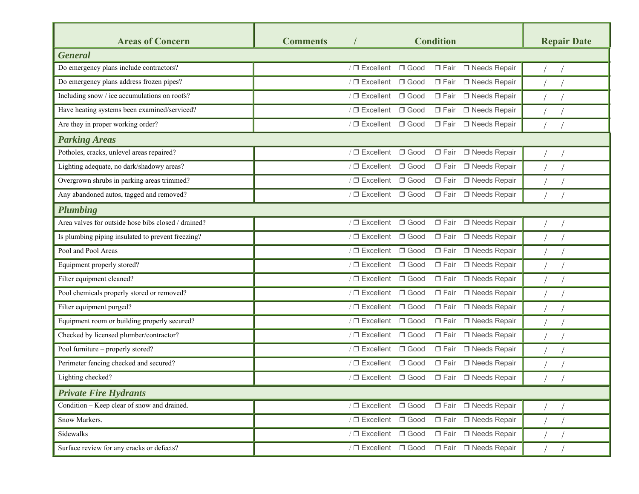| <b>Areas of Concern</b>                             | <b>Comments</b> |                         |             | <b>Condition</b> |                       | <b>Repair Date</b> |  |
|-----------------------------------------------------|-----------------|-------------------------|-------------|------------------|-----------------------|--------------------|--|
| <b>General</b>                                      |                 |                         |             |                  |                       |                    |  |
| Do emergency plans include contractors?             |                 | $\sqrt{\Box}$ Excellent | $\Box$ Good |                  | □ Fair □ Needs Repair |                    |  |
| Do emergency plans address frozen pipes?            |                 | $\sqrt{\Box}$ Excellent | $\Box$ Good | $\Box$ Fair      | □ Needs Repair        |                    |  |
| Including snow / ice accumulations on roofs?        |                 | $\sqrt{\Box}$ Excellent | $\Box$ Good | $\square$ Fair   | □ Needs Repair        |                    |  |
| Have heating systems been examined/serviced?        |                 | $/$ $\Box$ Excellent    | $\Box$ Good | $\Box$ Fair      | □ Needs Repair        |                    |  |
| Are they in proper working order?                   |                 | $\sqrt{\Box}$ Excellent | $\Box$ Good | $\Box$ Fair      | □ Needs Repair        |                    |  |
| <b>Parking Areas</b>                                |                 |                         |             |                  |                       |                    |  |
| Potholes, cracks, unlevel areas repaired?           |                 | $/$ $\Box$ Excellent    | $\Box$ Good |                  | □ Fair □ Needs Repair |                    |  |
| Lighting adequate, no dark/shadowy areas?           |                 | $\sqrt{\Box}$ Excellent | $\Box$ Good |                  | □ Fair □ Needs Repair |                    |  |
| Overgrown shrubs in parking areas trimmed?          |                 | $\sqrt{\Box}$ Excellent | $\Box$ Good |                  | □ Fair □ Needs Repair |                    |  |
| Any abandoned autos, tagged and removed?            |                 | $\sqrt{\Box}$ Excellent | $\Box$ Good |                  | □ Fair □ Needs Repair |                    |  |
| <b>Plumbing</b>                                     |                 |                         |             |                  |                       |                    |  |
| Area valves for outside hose bibs closed / drained? |                 | $\sqrt{\Box}$ Excellent | $\Box$ Good |                  | □ Fair □ Needs Repair |                    |  |
| Is plumbing piping insulated to prevent freezing?   |                 | $/$ $\Box$ Excellent    | $\Box$ Good | $\square$ Fair   | □ Needs Repair        |                    |  |
| Pool and Pool Areas                                 |                 | $\sqrt{\Box}$ Excellent | $\Box$ Good | $\square$ Fair   | □ Needs Repair        |                    |  |
| Equipment properly stored?                          |                 | $/$ $\Box$ Excellent    | $\Box$ Good | $\square$ Fair   | □ Needs Repair        |                    |  |
| Filter equipment cleaned?                           |                 | $\sqrt{\Box}$ Excellent | $\Box$ Good | $\Box$ Fair      | □ Needs Repair        |                    |  |
| Pool chemicals properly stored or removed?          |                 | $/$ $\Box$ Excellent    | $\Box$ Good | $\Box$ Fair      | □ Needs Repair        |                    |  |
| Filter equipment purged?                            |                 | $\sqrt{\Box}$ Excellent | $\Box$ Good | $\Box$ Fair      | □ Needs Repair        |                    |  |
| Equipment room or building properly secured?        |                 | $/ \Box$ Excellent      | $\Box$ Good | $\square$ Fair   | □ Needs Repair        |                    |  |
| Checked by licensed plumber/contractor?             |                 | $\sqrt{\Box}$ Excellent | $\Box$ Good |                  | □ Fair □ Needs Repair |                    |  |
| Pool furniture - properly stored?                   |                 | $\sqrt{\Box}$ Excellent | $\Box$ Good |                  | □ Fair □ Needs Repair |                    |  |
| Perimeter fencing checked and secured?              |                 | $\sqrt{\Box}$ Excellent | $\Box$ Good | $\Box$ Fair      | □ Needs Repair        |                    |  |
| Lighting checked?                                   |                 | / □ Excellent □ Good    |             |                  | □ Fair □ Needs Repair |                    |  |
| <b>Private Fire Hydrants</b>                        |                 |                         |             |                  |                       |                    |  |
| Condition - Keep clear of snow and drained.         |                 | $\sqrt{\Box}$ Excellent | $\Box$ Good |                  | □ Fair □ Needs Repair |                    |  |
| Snow Markers.                                       |                 | $\sqrt{2}$ Excellent    | $\Box$ Good |                  | □ Fair □ Needs Repair |                    |  |
| Sidewalks                                           |                 | $\sqrt{\Box}$ Excellent | $\Box$ Good |                  | □ Fair □ Needs Repair |                    |  |
| Surface review for any cracks or defects?           |                 | $\sqrt{\Box}$ Excellent | $\Box$ Good |                  | □ Fair □ Needs Repair |                    |  |